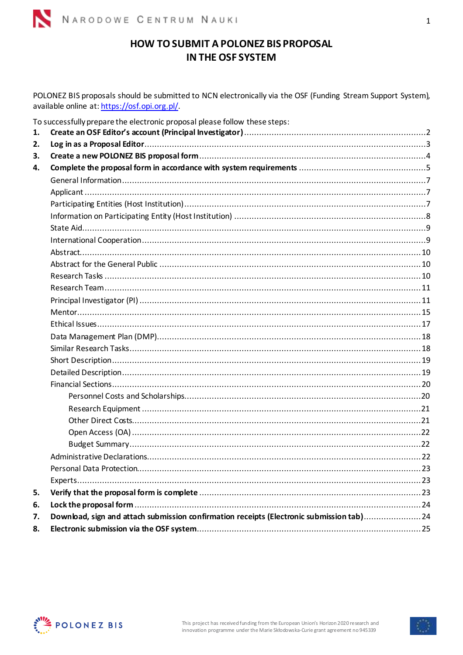

# HOW TO SUBMIT A POLONEZ BIS PROPOSAL IN THE OSF SYSTEM

POLONEZ BIS proposals should be submitted to NCN electronically via the OSF (Funding Stream Support System), available online at: https://osf.opi.org.pl/.

| 1. | To successfully prepare the electronic proposal please follow these steps:               |  |
|----|------------------------------------------------------------------------------------------|--|
| 2. |                                                                                          |  |
| 3. |                                                                                          |  |
| 4. |                                                                                          |  |
|    |                                                                                          |  |
|    |                                                                                          |  |
|    |                                                                                          |  |
|    |                                                                                          |  |
|    |                                                                                          |  |
|    |                                                                                          |  |
|    |                                                                                          |  |
|    |                                                                                          |  |
|    |                                                                                          |  |
|    |                                                                                          |  |
|    |                                                                                          |  |
|    |                                                                                          |  |
|    |                                                                                          |  |
|    |                                                                                          |  |
|    |                                                                                          |  |
|    |                                                                                          |  |
|    |                                                                                          |  |
|    |                                                                                          |  |
|    |                                                                                          |  |
|    |                                                                                          |  |
|    |                                                                                          |  |
|    |                                                                                          |  |
|    |                                                                                          |  |
|    |                                                                                          |  |
|    |                                                                                          |  |
|    |                                                                                          |  |
| 5. |                                                                                          |  |
| 6. |                                                                                          |  |
| 7. | Download, sign and attach submission confirmation receipts (Electronic submission tab)24 |  |
| 8. |                                                                                          |  |

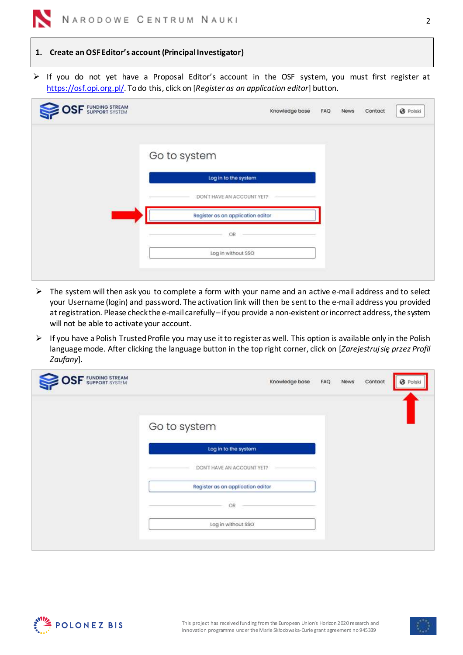## <span id="page-1-0"></span>**1. Create an OSF Editor's account (Principal Investigator)**

➢ If you do not yet have a Proposal Editor's account in the OSF system, you must first register at [https://osf.opi.org.pl/.](https://osf.opi.org.pl/) To do this, click on [*Register as an application editor*] button.

| <b>SF</b> FUNDING STREAM | Knowledge base                    | FAQ. | News | Contact | <b>@</b> Polski |
|--------------------------|-----------------------------------|------|------|---------|-----------------|
|                          | Go to system                      |      |      |         |                 |
|                          | Log in to the system              |      |      |         |                 |
|                          | DON'T HAVE AN ACCOUNT YET?        |      |      |         |                 |
|                          | Register as an application editor |      |      |         |                 |
|                          | OR                                |      |      |         |                 |
|                          | Log in without SSO                |      |      |         |                 |

- $\triangleright$  The system will then ask you to complete a form with your name and an active e-mail address and to select your Username (login) and password. The activation link will then be sent to the e-mail address you provided at registration. Please check the e-mail carefully – if you provide a non-existent or incorrect address, the system will not be able to activate your account.
- ➢ If you have a Polish Trusted Profile you may use it to register as well. This option is available only in the Polish language mode. After clicking the language button in the top right corner, click on [*Zarejestruj się przez Profil Zaufany*].

| <b>SF</b> FUNDING STREAM |                                   | Knowledge base | FAQ | News | Contact | <b>O</b> Polski |
|--------------------------|-----------------------------------|----------------|-----|------|---------|-----------------|
|                          | Go to system                      |                |     |      |         |                 |
|                          | Log in to the system              |                |     |      |         |                 |
|                          | DON'T HAVE AN ACCOUNT YET?        |                |     |      |         |                 |
|                          | Register as an application editor |                |     |      |         |                 |
|                          | OR                                |                |     |      |         |                 |
|                          | Log in without SSO                |                |     |      |         |                 |
|                          |                                   |                |     |      |         |                 |



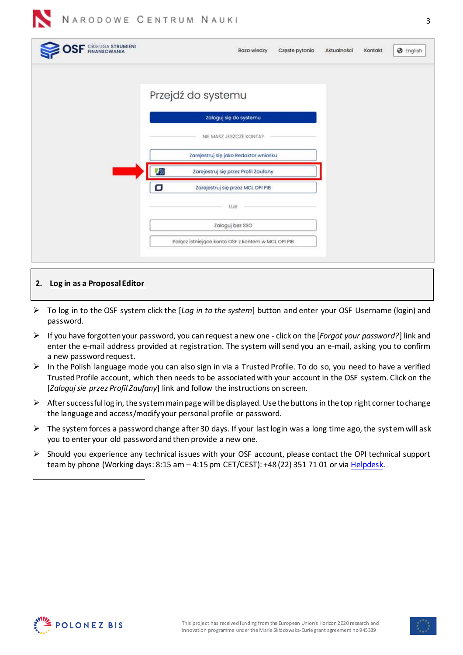| <b>SF</b> CBSLUGA STRUMIENI | <b>@</b> English<br>Baza wiedzy<br>Częste pytania<br>Kontakt<br>Aktualności |
|-----------------------------|-----------------------------------------------------------------------------|
|                             | Przejdź do systemu                                                          |
|                             | Zaloguj się do systemu                                                      |
|                             | NIE MASZ JESZCZE KONTA?                                                     |
|                             | Zarejestruj się jako Redaktor wniosku                                       |
|                             | 際<br>Zarejestruj się przez Profil Zaufany                                   |
|                             | о<br>Zarejestruj się przez MCL OPI PIB                                      |
|                             | LUB.                                                                        |
|                             | Zaloguj bez SSO                                                             |
|                             | Połącz istniejące konto OSF z kontem w MCL OPI PIB                          |
|                             |                                                                             |

## <span id="page-2-0"></span>**2. Log in as a Proposal Editor**

- ➢ To log in to the OSF system click the [*Log in to the system*] button and enter your OSF Username (login) and password.
- ➢ If you have forgotten your password, you can request a new one click on the [*Forgot your password?*] link and enter the e-mail address provided at registration. The system will send you an e-mail, asking you to confirm a new password request.
- ➢ In the Polish language mode you can also sign in via a Trusted Profile. To do so, you need to have a verified Trusted Profile account, which then needs to be associated with your account in the OSF system. Click on the [*Zaloguj sie przez Profil Zaufany*] link and follow the instructions on screen.
- $\triangleright$  After successful log in, the system main page will be displayed. Use the buttons in the top right corner to change the language and access/modify your personal profile or password.
- ➢ The system forces a password change after 30 days. If your last login was a long time ago, the system will ask you to enter your old password and then provide a new one.
- ➢ Should you experience any technical issues with your OSF account, please contact the OPI technical support team by phone (Working days: 8:15 am - 4:15 pm CET/CEST): +48 (22) 351 71 01 or vi[a Helpdesk.](https://lil-helpdesk.opi.org.pl/#/login)

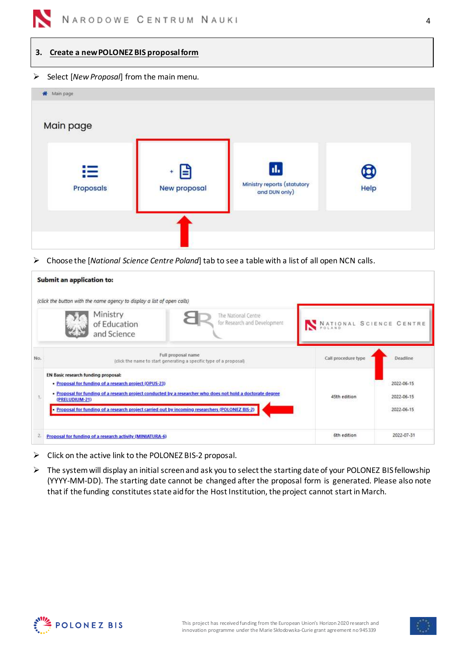

### <span id="page-3-0"></span>**3. Create a new POLONEZ BIS proposal form**

### ➢ Select [*New Proposal*] from the main menu.

| Wain page        |                     |                                                     |             |  |
|------------------|---------------------|-----------------------------------------------------|-------------|--|
| Main page        |                     |                                                     |             |  |
| 洼                | E                   | d.                                                  | $\mathbf g$ |  |
| <b>Proposals</b> | <b>New proposal</b> | <b>Ministry reports (statutory</b><br>and DUN only) | Help        |  |
|                  |                     |                                                     |             |  |
|                  |                     |                                                     |             |  |

➢ Choose the [*National Science Centre Poland*] tab to see a table with a list of all open NCN calls.

|     | <b>Submit an application to:</b>                                                                                                                                                                                                                                                                                                 |                         |                                        |
|-----|----------------------------------------------------------------------------------------------------------------------------------------------------------------------------------------------------------------------------------------------------------------------------------------------------------------------------------|-------------------------|----------------------------------------|
|     | (click the button with the name agency to display a list of open calls)                                                                                                                                                                                                                                                          |                         |                                        |
|     | Ministry<br>The National Centre<br>for Research and Development<br>of Education<br>and Science                                                                                                                                                                                                                                   | NATIONAL SCIENCE CENTRE |                                        |
| No. | Full proposal name<br>(dick the name to start generating a specific type of a proposal)                                                                                                                                                                                                                                          | Call procedure type     | Deadline                               |
|     | EN Basic research funding proposal:<br>· Proposal for funding of a research project (OPUS-23)<br>. Proposal for funding of a research project conducted by a researcher who does not hold a doctorate degree<br>(PRELUDIUM-21)<br>Proposal for funding of a research project carried out by incoming researchers (POLONEZ BIS-2) | 45th edition            | 2022-06-15<br>2022-06-15<br>2022-06-15 |
| 2.  | Proposal for funding of a research activity (MINIATURA-6)                                                                                                                                                                                                                                                                        | 6th edition             | 2022-07-31                             |

- ➢ Click on the active link to the POLONEZ BIS-2 proposal.
- ➢ The system will display an initial screen and ask you to select the starting date of your POLONEZ BIS fellowship (YYYY-MM-DD). The starting date cannot be changed after the proposal form is generated. Please also note that if the funding constitutes state aid for the Host Institution, the project cannot start in March.



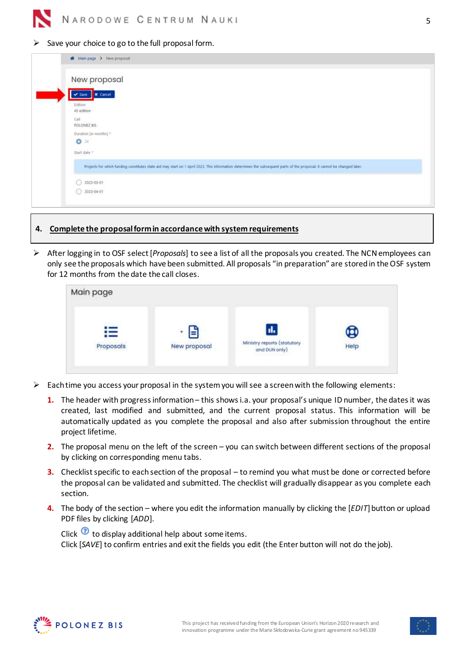Save your choice to go to the full proposal form.

| <del>■</del> Main page > New proposal                                                                                                                                     |
|---------------------------------------------------------------------------------------------------------------------------------------------------------------------------|
| New proposal                                                                                                                                                              |
| v Save X Cancel                                                                                                                                                           |
| Edition<br>45 edition                                                                                                                                                     |
| Call<br>POLONEZ BIS                                                                                                                                                       |
| Duration (in months).*<br>$Q_{24}$                                                                                                                                        |
| Start date -                                                                                                                                                              |
| Projects for which funding constitutes state aid may start on 1 April 2023. This information determines the subsequent parts of the proposal. It cannot be changed later. |
| 2023-03-01                                                                                                                                                                |
| $2023 - 04 - 01$                                                                                                                                                          |

### <span id="page-4-0"></span>**4. Complete the proposal form in accordance with system requirements**

➢ After logging in to OSF select [*Proposals*] to see a list of all the proposals you created. The NCN employees can only see the proposals which have been submitted. All proposals "in preparation" are stored in the OSF system for 12 months from the date the call closes.

| Main page      |                   |                                                                         |      |
|----------------|-------------------|-------------------------------------------------------------------------|------|
| Ε<br>Proposals | E<br>New proposal | d.<br>Ministry reports (statutory<br>and DUN only)<br>Handley & 1999.WW | Help |

- $\triangleright$  Each time you access your proposal in the system you will see a screen with the following elements:
	- **1.** The header with progress information– this shows i.a. your proposal's unique ID number, the dates it was created, last modified and submitted, and the current proposal status. This information will be automatically updated as you complete the proposal and also after submission throughout the entire project lifetime.
	- **2.** The proposal menu on the left of the screen you can switch between different sections of the proposal by clicking on corresponding menu tabs.
	- **3.** Checklist specific to each section of the proposal to remind you what must be done or corrected before the proposal can be validated and submitted. The checklist will gradually disappear as you complete each section.
	- **4.** The body of the section where you edit the information manually by clicking the [*EDIT*] button or upload PDF files by clicking [*ADD*].

Click  $\odot$  to display additional help about some items. Click [*SAVE*] to confirm entries and exit the fields you edit (the Enter button will not do the job).



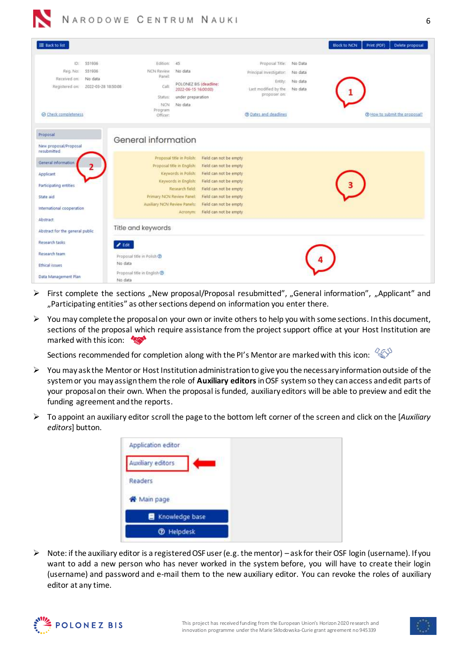| E Back to list                                                                                                                  |                                                                                                     |                                                                                                                                                                                                                                                                                                                    |                                                                                                                                          | <b>Block to NCN</b><br>Delete proposal<br>Print (PDF) |
|---------------------------------------------------------------------------------------------------------------------------------|-----------------------------------------------------------------------------------------------------|--------------------------------------------------------------------------------------------------------------------------------------------------------------------------------------------------------------------------------------------------------------------------------------------------------------------|------------------------------------------------------------------------------------------------------------------------------------------|-------------------------------------------------------|
| ID:<br>551936<br>551936<br>Reg. No:<br>Received on:<br>No data<br>Registered on:<br>2022-03-28 18:50:08<br>@ Check completeness | Edition: 45<br><b>NCN Review</b><br>Panel:<br><b>Call:</b><br>Status:<br>NCN<br>Program<br>Officer: | No data<br>POLONEZ BIS (deadline:<br>2022-06-15 16:00:00)<br>under preparation<br>No data                                                                                                                                                                                                                          | Proposal Title: No Data<br>Principal Investigator:<br>Entity:<br>Last modified by the No data<br>proposer on:<br>(?) Dates and deadlines | No data<br>No data<br>Thew to submit the proposal?    |
| Proposal<br>New proposal/Proposal<br>resubmitted                                                                                | General information                                                                                 |                                                                                                                                                                                                                                                                                                                    |                                                                                                                                          |                                                       |
| General information<br>Applicant<br>Participating entities<br>State aid                                                         | Primary NCN Review Panel:<br>Auxiliary NCN Review Panels:                                           | Proposal title in Polish:<br>Field can not be empty<br>Proposal title in English:<br>Field can not be empty<br>Keywords in Polish:<br>Field can not be empty<br>Field can not be empty<br>Keywords in English:<br>Field can not be empty.<br>Research field:<br>Field can not be empty.<br>Field can not be empty. |                                                                                                                                          |                                                       |
| International cooperation<br><b>Abstract</b><br>Abstract for the general public                                                 | Title and keywords                                                                                  | Field can not be empty<br>Acronym                                                                                                                                                                                                                                                                                  |                                                                                                                                          |                                                       |
| Research tasks<br>Research team<br><b>Ethical issues</b><br>Data Management Plan                                                | $E$ dit<br>Proposal title in Polish @<br>No data<br>Proposal title in English (2)<br>No data        |                                                                                                                                                                                                                                                                                                                    |                                                                                                                                          |                                                       |

- $\triangleright$  First complete the sections "New proposal/Proposal resubmitted", "General information", "Applicant" and "Participating entities" as other sections depend on information you enter there.
- ➢ You may complete the proposal on your own or invite others to help you with some sections. In this document, sections of the proposal which require assistance from the project support office at your Host Institution are marked with this icon:

Sections recommended for completion along with the PI's Mentor are marked with this icon:  $\sqrt[2\omega]{\mathbb{S}}$ 

- ➢ You may ask the Mentor or Host Institution administration to give you the necessary information outside of the system or you may assign them the role of **Auxiliary editors**in OSF system so they can access and edit parts of your proposal on their own. When the proposal is funded, auxiliary editors will be able to preview and edit the funding agreement and the reports.
- ➢ To appoint an auxiliary editor scroll the page to the bottom left corner of the screen and click on the [*Auxiliary editors*] button.

| Application editor |  |
|--------------------|--|
| Auxiliary editors  |  |
| Readers            |  |
| <br>Main page      |  |
| Knowledge base     |  |
| <b>D</b> Helpdesk  |  |

➢ Note: if the auxiliary editor is a registered OSF user (e.g. the mentor) – ask for their OSF login (username). If you want to add a new person who has never worked in the system before, you will have to create their login (username) and password and e-mail them to the new auxiliary editor. You can revoke the roles of auxiliary editor at any time.

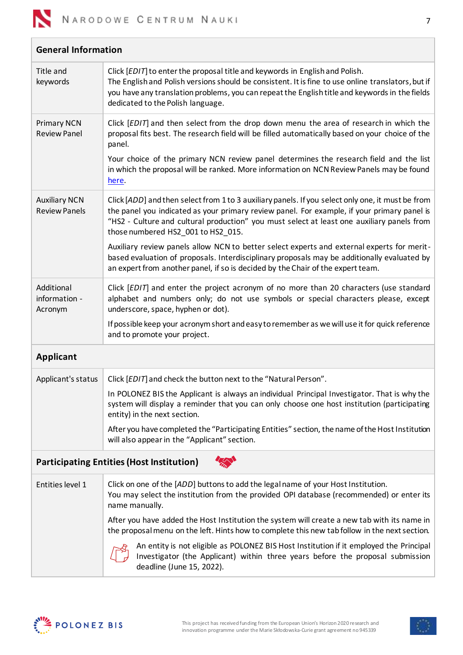

<span id="page-6-0"></span>

| <b>General Information</b>                       |                                                                                                                                                                                                                                                                                                                                      |  |  |  |
|--------------------------------------------------|--------------------------------------------------------------------------------------------------------------------------------------------------------------------------------------------------------------------------------------------------------------------------------------------------------------------------------------|--|--|--|
| Title and<br>keywords                            | Click [EDIT] to enter the proposal title and keywords in English and Polish.<br>The English and Polish versions should be consistent. It is fine to use online translators, but if<br>you have any translation problems, you can repeat the English title and keywords in the fields<br>dedicated to the Polish language.            |  |  |  |
| <b>Primary NCN</b><br><b>Review Panel</b>        | Click [EDIT] and then select from the drop down menu the area of research in which the<br>proposal fits best. The research field will be filled automatically based on your choice of the<br>panel.                                                                                                                                  |  |  |  |
|                                                  | Your choice of the primary NCN review panel determines the research field and the list<br>in which the proposal will be ranked. More information on NCN Review Panels may be found<br>here.                                                                                                                                          |  |  |  |
| <b>Auxiliary NCN</b><br><b>Review Panels</b>     | Click [ADD] and then select from 1 to 3 auxiliary panels. If you select only one, it must be from<br>the panel you indicated as your primary review panel. For example, if your primary panel is<br>"HS2 - Culture and cultural production" you must select at least one auxiliary panels from<br>those numbered HS2_001 to HS2_015. |  |  |  |
|                                                  | Auxiliary review panels allow NCN to better select experts and external experts for merit-<br>based evaluation of proposals. Interdisciplinary proposals may be additionally evaluated by<br>an expert from another panel, if so is decided by the Chair of the expert team.                                                         |  |  |  |
| Additional<br>information -<br>Acronym           | Click [EDIT] and enter the project acronym of no more than 20 characters (use standard<br>alphabet and numbers only; do not use symbols or special characters please, except<br>underscore, space, hyphen or dot).                                                                                                                   |  |  |  |
|                                                  | If possible keep your acronym short and easy to remember as we will use it for quick reference<br>and to promote your project.                                                                                                                                                                                                       |  |  |  |
| <b>Applicant</b>                                 |                                                                                                                                                                                                                                                                                                                                      |  |  |  |
| Applicant's status                               | Click [EDIT] and check the button next to the "Natural Person".                                                                                                                                                                                                                                                                      |  |  |  |
|                                                  | In POLONEZ BIS the Applicant is always an individual Principal Investigator. That is why the<br>system will display a reminder that you can only choose one host institution (participating<br>entity) in the next section.                                                                                                          |  |  |  |
|                                                  | After you have completed the "Participating Entities" section, the name of the Host Institution<br>will also appear in the "Applicant" section.                                                                                                                                                                                      |  |  |  |
| <b>Participating Entities (Host Institution)</b> |                                                                                                                                                                                                                                                                                                                                      |  |  |  |
| Entities level 1                                 | Click on one of the [ADD] buttons to add the legal name of your Host Institution.<br>You may select the institution from the provided OPI database (recommended) or enter its<br>name manually.                                                                                                                                      |  |  |  |
|                                                  | After you have added the Host Institution the system will create a new tab with its name in<br>the proposal menu on the left. Hints how to complete this new tab follow in the next section.                                                                                                                                         |  |  |  |
|                                                  | An entity is not eligible as POLONEZ BIS Host Institution if it employed the Principal<br>Investigator (the Applicant) within three years before the proposal submission<br>deadline (June 15, 2022).                                                                                                                                |  |  |  |

<span id="page-6-2"></span><span id="page-6-1"></span>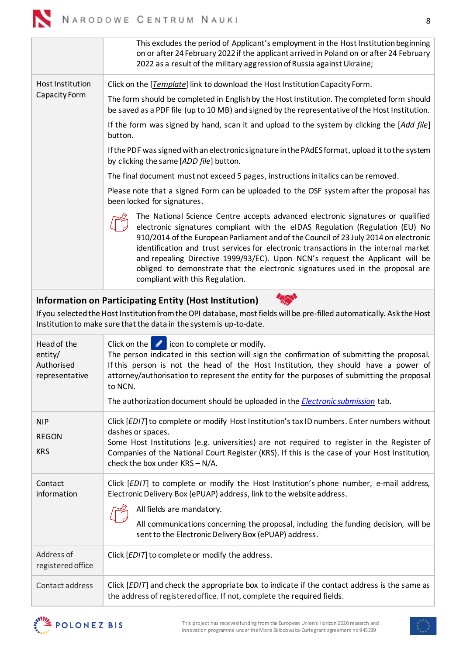<span id="page-7-0"></span>

|            |                                                        | on or after 24 February 2022 if the applicant arrived in Poland on or after 24 February<br>2022 as a result of the military aggression of Russia against Ukraine;                                                                                                                                                                                                                                                                                                                                                                                      |
|------------|--------------------------------------------------------|--------------------------------------------------------------------------------------------------------------------------------------------------------------------------------------------------------------------------------------------------------------------------------------------------------------------------------------------------------------------------------------------------------------------------------------------------------------------------------------------------------------------------------------------------------|
|            | Host Institution                                       | Click on the [Template] link to download the Host Institution Capacity Form.                                                                                                                                                                                                                                                                                                                                                                                                                                                                           |
|            | Capacity Form                                          | The form should be completed in English by the Host Institution. The completed form should<br>be saved as a PDF file (up to 10 MB) and signed by the representative of the Host Institution.                                                                                                                                                                                                                                                                                                                                                           |
|            |                                                        | If the form was signed by hand, scan it and upload to the system by clicking the [Add file]<br>button.                                                                                                                                                                                                                                                                                                                                                                                                                                                 |
|            |                                                        | If the PDF was signed with an electronic signature in the PAdES format, upload it to the system<br>by clicking the same [ADD file] button.                                                                                                                                                                                                                                                                                                                                                                                                             |
|            |                                                        | The final document must not exceed 5 pages, instructions in italics can be removed.                                                                                                                                                                                                                                                                                                                                                                                                                                                                    |
|            |                                                        | Please note that a signed Form can be uploaded to the OSF system after the proposal has<br>been locked for signatures.                                                                                                                                                                                                                                                                                                                                                                                                                                 |
|            |                                                        | The National Science Centre accepts advanced electronic signatures or qualified<br>electronic signatures compliant with the eIDAS Regulation (Regulation (EU) No<br>910/2014 of the European Parliament and of the Council of 23 July 2014 on electronic<br>identification and trust services for electronic transactions in the internal market<br>and repealing Directive 1999/93/EC). Upon NCN's request the Applicant will be<br>obliged to demonstrate that the electronic signatures used in the proposal are<br>compliant with this Regulation. |
|            |                                                        | <b>Information on Participating Entity (Host Institution)</b>                                                                                                                                                                                                                                                                                                                                                                                                                                                                                          |
|            |                                                        | If you selected the Host Institution from the OPI database, most fields will be pre-filled automatically. Ask the Host<br>Institution to make sure that the data in the system is up-to-date.                                                                                                                                                                                                                                                                                                                                                          |
|            | Head of the<br>entity/<br>Authorised<br>representative | Click on the $\bullet$ icon to complete or modify.<br>The person indicated in this section will sign the confirmation of submitting the proposal.<br>If this person is not the head of the Host Institution, they should have a power of<br>attorney/authorisation to represent the entity for the purposes of submitting the proposal<br>to NCN.<br>The authorization document should be uploaded in the Electronic submission tab.                                                                                                                   |
|            |                                                        |                                                                                                                                                                                                                                                                                                                                                                                                                                                                                                                                                        |
| <b>NIP</b> |                                                        | Click [EDIT] to complete or modify Host Institution's tax ID numbers. Enter numbers without<br>dashes or spaces.                                                                                                                                                                                                                                                                                                                                                                                                                                       |
| <b>KRS</b> | <b>REGON</b>                                           | Some Host Institutions (e.g. universities) are not required to register in the Register of<br>Companies of the National Court Register (KRS). If this is the case of your Host Institution,<br>check the box under KRS - N/A.                                                                                                                                                                                                                                                                                                                          |
|            | Contact<br>information                                 | Click [EDIT] to complete or modify the Host Institution's phone number, e-mail address,<br>Electronic Delivery Box (ePUAP) address, link to the website address.                                                                                                                                                                                                                                                                                                                                                                                       |
|            |                                                        | All fields are mandatory.                                                                                                                                                                                                                                                                                                                                                                                                                                                                                                                              |
|            |                                                        | All communications concerning the proposal, including the funding decision, will be<br>sent to the Electronic Delivery Box (ePUAP) address.                                                                                                                                                                                                                                                                                                                                                                                                            |
|            | Address of<br>registered office                        | Click [EDIT] to complete or modify the address.                                                                                                                                                                                                                                                                                                                                                                                                                                                                                                        |
|            | Contact address                                        | Click [EDIT] and check the appropriate box to indicate if the contact address is the same as<br>the address of registered office. If not, complete the required fields.                                                                                                                                                                                                                                                                                                                                                                                |
|            |                                                        |                                                                                                                                                                                                                                                                                                                                                                                                                                                                                                                                                        |

<span id="page-7-1"></span>This excludes the period of Applicant's employment in the Host Institution beginning



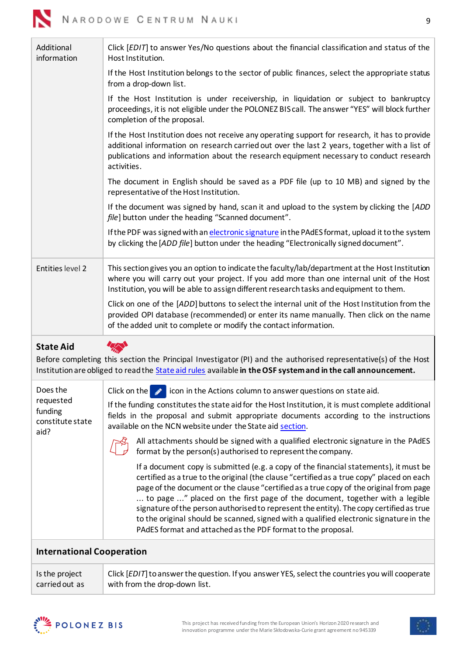| Click [EDIT] to answer Yes/No questions about the financial classification and status of the<br>Host Institution.                                                                                                                                                                                         |
|-----------------------------------------------------------------------------------------------------------------------------------------------------------------------------------------------------------------------------------------------------------------------------------------------------------|
| If the Host Institution belongs to the sector of public finances, select the appropriate status<br>from a drop-down list.                                                                                                                                                                                 |
| If the Host Institution is under receivership, in liquidation or subject to bankruptcy<br>proceedings, it is not eligible under the POLONEZ BIS call. The answer "YES" will block further<br>completion of the proposal.                                                                                  |
| If the Host Institution does not receive any operating support for research, it has to provide<br>additional information on research carried out over the last 2 years, together with a list of<br>publications and information about the research equipment necessary to conduct research<br>activities. |
| The document in English should be saved as a PDF file (up to 10 MB) and signed by the<br>representative of the Host Institution.                                                                                                                                                                          |
| If the document was signed by hand, scan it and upload to the system by clicking the [ADD<br>file] button under the heading "Scanned document".                                                                                                                                                           |
| If the PDF was signed with an electronic signature in the PAdES format, upload it to the system<br>by clicking the [ADD file] button under the heading "Electronically signed document".                                                                                                                  |
| This section gives you an option to indicate the faculty/lab/department at the Host Institution<br>where you will carry out your project. If you add more than one internal unit of the Host<br>Institution, you will be able to assign different research tasks and equipment to them.                   |
| Click on one of the [ADD] buttons to select the internal unit of the Host Institution from the<br>provided OPI database (recommended) or enter its name manually. Then click on the name<br>of the added unit to complete or modify the contact information.                                              |
|                                                                                                                                                                                                                                                                                                           |

<span id="page-8-0"></span>**State Aid**



Before completing this section the Principal Investigator (PI) and the authorised representative(s) of the Host Institution are obliged to read the [State aid rules](https://www.ncn.gov.pl/sites/default/files/pliki/regulaminy/2020_09_NCN_zasady_wystepowania_pomocy_publicznej_ang.pdf) available **in the OSF system and in the call announcement.**

| If the funding constitutes the state aid for the Host Institution, it is must complete additional<br>fields in the proposal and submit appropriate documents according to the instructions<br>available on the NCN website under the State aid section.                                                                                                                                                                                                                                                                                                                                                          |
|------------------------------------------------------------------------------------------------------------------------------------------------------------------------------------------------------------------------------------------------------------------------------------------------------------------------------------------------------------------------------------------------------------------------------------------------------------------------------------------------------------------------------------------------------------------------------------------------------------------|
| All attachments should be signed with a qualified electronic signature in the PAdES<br>format by the person(s) authorised to represent the company.                                                                                                                                                                                                                                                                                                                                                                                                                                                              |
| If a document copy is submitted (e.g. a copy of the financial statements), it must be<br>certified as a true to the original (the clause "certified as a true copy" placed on each<br>page of the document or the clause "certified as a true copy of the original from page<br>to page " placed on the first page of the document, together with a legible<br>signature of the person authorised to represent the entity). The copy certified as true<br>to the original should be scanned, signed with a qualified electronic signature in the<br>PAdES format and attached as the PDF format to the proposal. |
|                                                                                                                                                                                                                                                                                                                                                                                                                                                                                                                                                                                                                  |

## <span id="page-8-1"></span>**International Cooperation**

Is the project carried out as Click [*EDIT*] to answer the question. If you answer YES, select the countries you will cooperate with from the drop-down list.



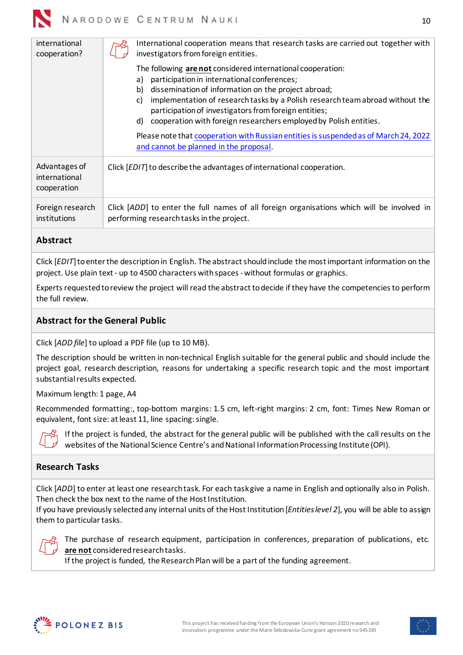| international<br>cooperation?                 | International cooperation means that research tasks are carried out together with<br>investigators from foreign entities.<br>The following are not considered international cooperation:<br>participation in international conferences;<br>a)<br>dissemination of information on the project abroad;<br>b) |
|-----------------------------------------------|------------------------------------------------------------------------------------------------------------------------------------------------------------------------------------------------------------------------------------------------------------------------------------------------------------|
|                                               | implementation of research tasks by a Polish research team abroad without the<br>C)<br>participation of investigators from foreign entities;<br>cooperation with foreign researchers employed by Polish entities.<br>d)                                                                                    |
|                                               | Please note that cooperation with Russian entities is suspended as of March 24, 2022<br>and cannot be planned in the proposal.                                                                                                                                                                             |
| Advantages of<br>international<br>cooperation | Click [EDIT] to describe the advantages of international cooperation.                                                                                                                                                                                                                                      |
| Foreign research<br>institutions              | Click [ADD] to enter the full names of all foreign organisations which will be involved in<br>performing research tasks in the project.                                                                                                                                                                    |

# <span id="page-9-0"></span>**Abstract**

Click [*EDIT*] to enter the description in English. The abstract should include the most important information on the project. Use plain text - up to 4500 characters with spaces -without formulas or graphics.

Experts requested to review the project will read the abstract to decide if they have the competencies to perform the full review.

## <span id="page-9-1"></span>**Abstract for the General Public**

Click [*ADD file*] to upload a PDF file (up to 10 MB).

The description should be written in non-technical English suitable for the general public and should include the project goal, research description, reasons for undertaking a specific research topic and the most important substantial results expected.

Maximum length: 1 page, A4

Recommended formatting:, top-bottom margins: 1.5 cm, left-right margins: 2 cm, font: Times New Roman or equivalent, font size: at least 11, line spacing: single.



If the project is funded, the abstract for the general public will be published with the call results on the websites of the National Science Centre's and National Information Processing Institute (OPI).

## <span id="page-9-2"></span>**Research Tasks**

Click [*ADD*] to enter at least one research task. For each task give a name in English and optionally also in Polish. Then check the box next to the name of the Host Institution.

If you have previously selected any internal units of the Host Institution [*Entities level 2*], you will be able to assign them to particular tasks.



The purchase of research equipment, participation in conferences, preparation of publications, etc. **are not** considered research tasks.

If the project is funded, the Research Plan will be a part of the funding agreement.



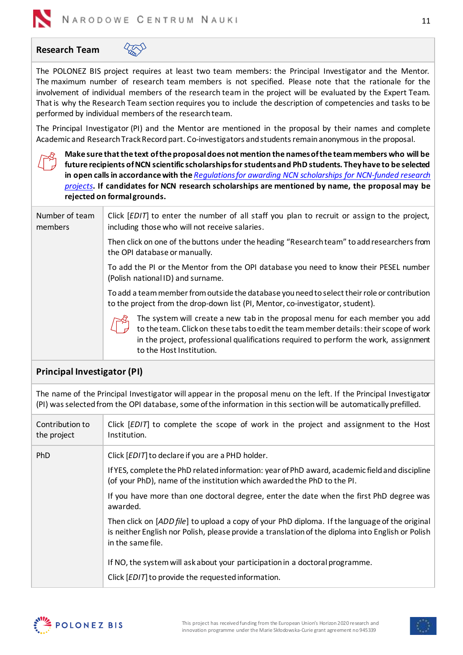

 $\sqrt[4]{50}$ 

<span id="page-10-0"></span>**Research Team**

The POLONEZ BIS project requires at least two team members: the Principal Investigator and the Mentor. The maximum number of research team members is not specified. Please note that the rationale for the involvement of individual members of the research team in the project will be evaluated by the Expert Team. That is why the Research Team section requires you to include the description of competencies and tasks to be performed by individual members of the research team.

The Principal Investigator (PI) and the Mentor are mentioned in the proposal by their names and complete Academic and Research Track Record part. Co-investigators and students remain anonymous in the proposal.



**Make sure that the text of the proposal does not mention the names of the team members who will be future recipients of NCN scientific scholarships forstudents and PhD students. They have to be selected in open calls in accordance with the** *[Regulations for awarding NCN](https://www.ncn.gov.pl/sites/default/files/pliki/uchwaly-rady/2019/uchwala25_2019-zal1_ang.pdf) scholarships for NCN-funded research [projects](https://www.ncn.gov.pl/sites/default/files/pliki/uchwaly-rady/2019/uchwala25_2019-zal1_ang.pdf)***. If candidates for NCN research scholarships are mentioned by name, the proposal may be rejected on formal grounds.**

| Number of team<br>members | Click [EDIT] to enter the number of all staff you plan to recruit or assign to the project,<br>including those who will not receive salaries.                                                                                                                                              |
|---------------------------|--------------------------------------------------------------------------------------------------------------------------------------------------------------------------------------------------------------------------------------------------------------------------------------------|
|                           | Then click on one of the buttons under the heading "Research team" to add researchers from<br>the OPI database or manually.                                                                                                                                                                |
|                           | To add the PI or the Mentor from the OPI database you need to know their PESEL number<br>(Polish national ID) and surname.                                                                                                                                                                 |
|                           | To add a team member from outside the database you need to select their role or contribution<br>to the project from the drop-down list (PI, Mentor, co-investigator, student).                                                                                                             |
|                           | The system will create a new tab in the proposal menu for each member you add<br>to the team. Click on these tabs to edit the team member details: their scope of work<br>in the project, professional qualifications required to perform the work, assignment<br>to the Host Institution. |

# <span id="page-10-1"></span>**Principal Investigator (PI)**

The name of the Principal Investigator will appear in the proposal menu on the left. If the Principal Investigator (PI) was selected from the OPI database, some of the information in this section will be automatically prefilled.

| Contribution to<br>the project | Click [EDIT] to complete the scope of work in the project and assignment to the Host<br>Institution.                                                                                                                          |
|--------------------------------|-------------------------------------------------------------------------------------------------------------------------------------------------------------------------------------------------------------------------------|
| <b>PhD</b>                     | Click [EDIT] to declare if you are a PHD holder.<br>If YES, complete the PhD related information: year of PhD award, academic field and discipline<br>(of your PhD), name of the institution which awarded the PhD to the PI. |
|                                | If you have more than one doctoral degree, enter the date when the first PhD degree was<br>awarded.                                                                                                                           |
|                                | Then click on [ADD file] to upload a copy of your PhD diploma. If the language of the original<br>is neither English nor Polish, please provide a translation of the diploma into English or Polish<br>in the same file.      |
|                                | If NO, the system will ask about your participation in a doctoral programme.                                                                                                                                                  |
|                                | Click [EDIT] to provide the requested information.                                                                                                                                                                            |



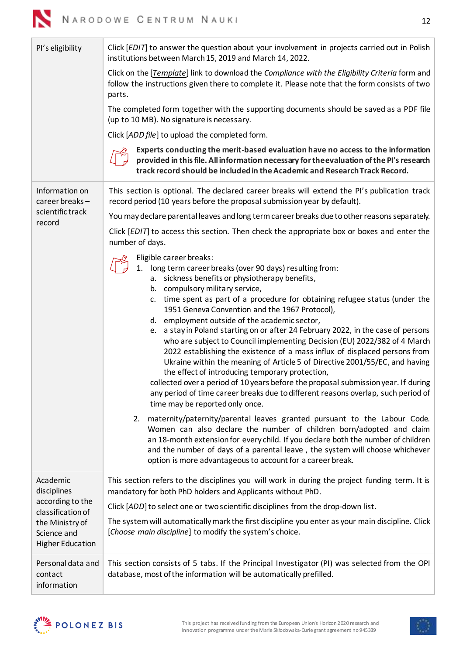| ۰. | ۹<br>٠   |
|----|----------|
|    | ٠<br>e e |

| Pl's eligibility                                                                                                              | Click [EDIT] to answer the question about your involvement in projects carried out in Polish<br>institutions between March 15, 2019 and March 14, 2022.                                                                                                                                                                                                                                                                                                                                                                                                                                                                                          |
|-------------------------------------------------------------------------------------------------------------------------------|--------------------------------------------------------------------------------------------------------------------------------------------------------------------------------------------------------------------------------------------------------------------------------------------------------------------------------------------------------------------------------------------------------------------------------------------------------------------------------------------------------------------------------------------------------------------------------------------------------------------------------------------------|
|                                                                                                                               | Click on the [Template] link to download the Compliance with the Eligibility Criteria form and<br>follow the instructions given there to complete it. Please note that the form consists of two<br>parts.                                                                                                                                                                                                                                                                                                                                                                                                                                        |
|                                                                                                                               | The completed form together with the supporting documents should be saved as a PDF file<br>(up to 10 MB). No signature is necessary.                                                                                                                                                                                                                                                                                                                                                                                                                                                                                                             |
|                                                                                                                               | Click [ADD file] to upload the completed form.                                                                                                                                                                                                                                                                                                                                                                                                                                                                                                                                                                                                   |
|                                                                                                                               | Experts conducting the merit-based evaluation have no access to the information<br>provided in this file. All information necessary for the evaluation of the PI's research<br>track record should be included in the Academic and Research Track Record.                                                                                                                                                                                                                                                                                                                                                                                        |
| Information on<br>career breaks-                                                                                              | This section is optional. The declared career breaks will extend the PI's publication track<br>record period (10 years before the proposal submission year by default).                                                                                                                                                                                                                                                                                                                                                                                                                                                                          |
| scientific track<br>record                                                                                                    | You may declare parental leaves and long term career breaks due to other reasons separately.                                                                                                                                                                                                                                                                                                                                                                                                                                                                                                                                                     |
|                                                                                                                               | Click [EDIT] to access this section. Then check the appropriate box or boxes and enter the<br>number of days.                                                                                                                                                                                                                                                                                                                                                                                                                                                                                                                                    |
|                                                                                                                               | Eligible career breaks:                                                                                                                                                                                                                                                                                                                                                                                                                                                                                                                                                                                                                          |
|                                                                                                                               | 1. long term career breaks (over 90 days) resulting from:                                                                                                                                                                                                                                                                                                                                                                                                                                                                                                                                                                                        |
|                                                                                                                               | a. sickness benefits or physiotherapy benefits,<br>b. compulsory military service,                                                                                                                                                                                                                                                                                                                                                                                                                                                                                                                                                               |
|                                                                                                                               | c. time spent as part of a procedure for obtaining refugee status (under the<br>1951 Geneva Convention and the 1967 Protocol),                                                                                                                                                                                                                                                                                                                                                                                                                                                                                                                   |
|                                                                                                                               | d. employment outside of the academic sector,<br>a stay in Poland starting on or after 24 February 2022, in the case of persons<br>e.<br>who are subject to Council implementing Decision (EU) 2022/382 of 4 March<br>2022 establishing the existence of a mass influx of displaced persons from<br>Ukraine within the meaning of Article 5 of Directive 2001/55/EC, and having<br>the effect of introducing temporary protection,<br>collected over a period of 10 years before the proposal submission year. If during<br>any period of time career breaks due to different reasons overlap, such period of<br>time may be reported only once. |
|                                                                                                                               | maternity/paternity/parental leaves granted pursuant to the Labour Code.<br>2.<br>Women can also declare the number of children born/adopted and claim<br>an 18-month extension for every child. If you declare both the number of children<br>and the number of days of a parental leave, the system will choose whichever<br>option is more advantageous to account for a career break.                                                                                                                                                                                                                                                        |
| Academic<br>disciplines<br>according to the<br>classification of<br>the Ministry of<br>Science and<br><b>Higher Education</b> | This section refers to the disciplines you will work in during the project funding term. It is<br>mandatory for both PhD holders and Applicants without PhD.                                                                                                                                                                                                                                                                                                                                                                                                                                                                                     |
|                                                                                                                               | Click [ADD] to select one or two scientific disciplines from the drop-down list.                                                                                                                                                                                                                                                                                                                                                                                                                                                                                                                                                                 |
|                                                                                                                               | The system will automatically mark the first discipline you enter as your main discipline. Click<br>[Choose main discipline] to modify the system's choice.                                                                                                                                                                                                                                                                                                                                                                                                                                                                                      |
| Personal data and<br>contact<br>information                                                                                   | This section consists of 5 tabs. If the Principal Investigator (PI) was selected from the OPI<br>database, most of the information will be automatically prefilled.                                                                                                                                                                                                                                                                                                                                                                                                                                                                              |



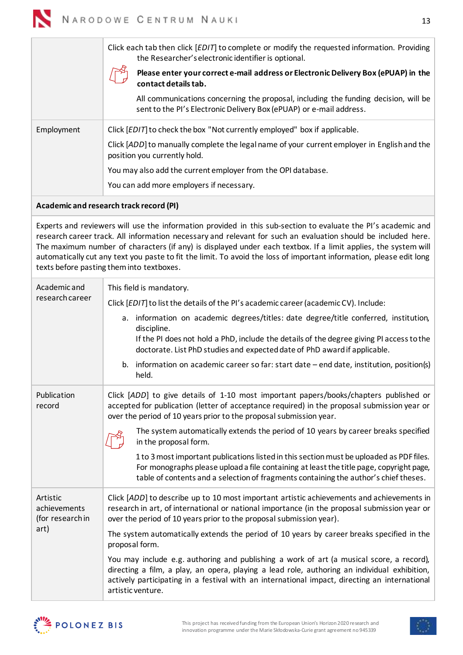

|                       | Click each tab then click [EDIT] to complete or modify the requested information. Providing<br>the Researcher's electronic identifier is optional.                                                                                                                                                                                                                                                                                                                                                                   |
|-----------------------|----------------------------------------------------------------------------------------------------------------------------------------------------------------------------------------------------------------------------------------------------------------------------------------------------------------------------------------------------------------------------------------------------------------------------------------------------------------------------------------------------------------------|
|                       | Please enter your correct e-mail address or Electronic Delivery Box (ePUAP) in the<br>contact details tab.                                                                                                                                                                                                                                                                                                                                                                                                           |
|                       | All communications concerning the proposal, including the funding decision, will be<br>sent to the PI's Electronic Delivery Box (ePUAP) or e-mail address.                                                                                                                                                                                                                                                                                                                                                           |
| Employment            | Click [EDIT] to check the box "Not currently employed" box if applicable.                                                                                                                                                                                                                                                                                                                                                                                                                                            |
|                       | Click [ADD] to manually complete the legal name of your current employer in English and the<br>position you currently hold.                                                                                                                                                                                                                                                                                                                                                                                          |
|                       | You may also add the current employer from the OPI database.                                                                                                                                                                                                                                                                                                                                                                                                                                                         |
|                       | You can add more employers if necessary.                                                                                                                                                                                                                                                                                                                                                                                                                                                                             |
|                       | Academic and research track record (PI)                                                                                                                                                                                                                                                                                                                                                                                                                                                                              |
|                       | Experts and reviewers will use the information provided in this sub-section to evaluate the PI's academic and<br>research career track. All information necessary and relevant for such an evaluation should be included here.<br>The maximum number of characters (if any) is displayed under each textbox. If a limit applies, the system will<br>automatically cut any text you paste to fit the limit. To avoid the loss of important information, please edit long<br>texts before pasting them into textboxes. |
| Academic and          | This field is mandatory.                                                                                                                                                                                                                                                                                                                                                                                                                                                                                             |
| research career       | Click [EDIT] to list the details of the PI's academic career (academic CV). Include:                                                                                                                                                                                                                                                                                                                                                                                                                                 |
|                       | a. information on academic degrees/titles: date degree/title conferred, institution,<br>discipline.                                                                                                                                                                                                                                                                                                                                                                                                                  |
|                       | If the PI does not hold a PhD, include the details of the degree giving PI access to the<br>doctorate. List PhD studies and expected date of PhD award if applicable.                                                                                                                                                                                                                                                                                                                                                |
|                       | information on academic career so far: start date - end date, institution, position(s)<br>b.<br>held.                                                                                                                                                                                                                                                                                                                                                                                                                |
| Publication<br>record | Click [ADD] to give details of 1-10 most important papers/books/chapters published or<br>accepted for publication (letter of acceptance required) in the proposal submission year or<br>over the period of 10 years prior to the proposal submission year.                                                                                                                                                                                                                                                           |
|                       | The system automatically extends the period of 10 years by career breaks specified<br>in the proposal form.                                                                                                                                                                                                                                                                                                                                                                                                          |
|                       | 1 to 3 most important publications listed in this section must be uploaded as PDF files.<br>For monographs please upload a file containing at least the title page, copyright page,<br>table of contents and a selection of fragments containing the author's chief theses.                                                                                                                                                                                                                                          |
|                       |                                                                                                                                                                                                                                                                                                                                                                                                                                                                                                                      |

Artistic achievements (for research in art) Click [*ADD*] to describe up to 10 most important artistic achievements and achievements in research in art, of international or national importance (in the proposal submission year or over the period of 10 years prior to the proposal submission year).

The system automatically extends the period of 10 years by career breaks specified in the proposal form.

You may include e.g. authoring and publishing a work of art (a musical score, a record), directing a film, a play, an opera, playing a lead role, authoring an individual exhibition, actively participating in a festival with an international impact, directing an international artistic venture.

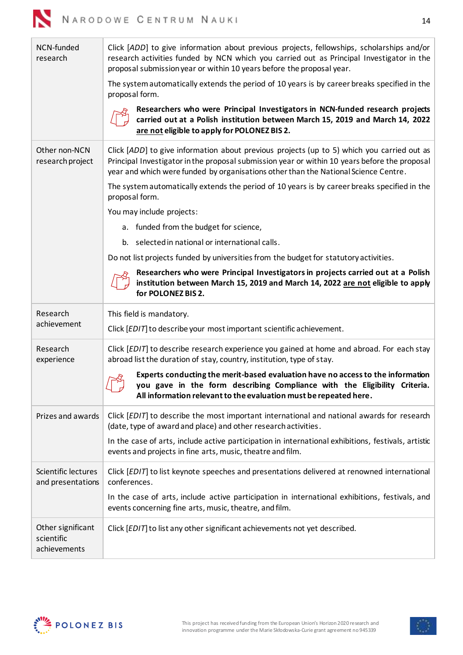

| NCN-funded<br>research                   | Click [ADD] to give information about previous projects, fellowships, scholarships and/or<br>research activities funded by NCN which you carried out as Principal Investigator in the<br>proposal submission year or within 10 years before the proposal year.                     |
|------------------------------------------|------------------------------------------------------------------------------------------------------------------------------------------------------------------------------------------------------------------------------------------------------------------------------------|
|                                          | The system automatically extends the period of 10 years is by career breaks specified in the<br>proposal form.                                                                                                                                                                     |
|                                          | Researchers who were Principal Investigators in NCN-funded research projects<br>carried out at a Polish institution between March 15, 2019 and March 14, 2022<br>are not eligible to apply for POLONEZ BIS 2.                                                                      |
| Other non-NCN<br>research project        | Click [ADD] to give information about previous projects (up to 5) which you carried out as<br>Principal Investigator in the proposal submission year or within 10 years before the proposal<br>year and which were funded by organisations other than the National Science Centre. |
|                                          | The system automatically extends the period of 10 years is by career breaks specified in the<br>proposal form.                                                                                                                                                                     |
|                                          | You may include projects:                                                                                                                                                                                                                                                          |
|                                          | a. funded from the budget for science,                                                                                                                                                                                                                                             |
|                                          | b. selected in national or international calls.                                                                                                                                                                                                                                    |
|                                          | Do not list projects funded by universities from the budget for statutory activities.                                                                                                                                                                                              |
|                                          | Researchers who were Principal Investigators in projects carried out at a Polish<br>institution between March 15, 2019 and March 14, 2022 are not eligible to apply<br>for POLONEZ BIS 2.                                                                                          |
| Research                                 | This field is mandatory.                                                                                                                                                                                                                                                           |
| achievement                              | Click [EDIT] to describe your most important scientific achievement.                                                                                                                                                                                                               |
| Research<br>experience                   | Click [EDIT] to describe research experience you gained at home and abroad. For each stay<br>abroad list the duration of stay, country, institution, type of stay.                                                                                                                 |
|                                          | Experts conducting the merit-based evaluation have no access to the information<br>you gave in the form describing Compliance with the Eligibility Criteria.<br>All information relevant to the evaluation must be repeated here.                                                  |
| Prizes and awards                        | Click [EDIT] to describe the most important international and national awards for research<br>(date, type of award and place) and other research activities.                                                                                                                       |
|                                          | In the case of arts, include active participation in international exhibitions, festivals, artistic<br>events and projects in fine arts, music, theatre and film.                                                                                                                  |
| Scientific lectures<br>and presentations | Click [EDIT] to list keynote speeches and presentations delivered at renowned international<br>conferences.                                                                                                                                                                        |
|                                          |                                                                                                                                                                                                                                                                                    |
|                                          | In the case of arts, include active participation in international exhibitions, festivals, and<br>events concerning fine arts, music, theatre, and film.                                                                                                                           |

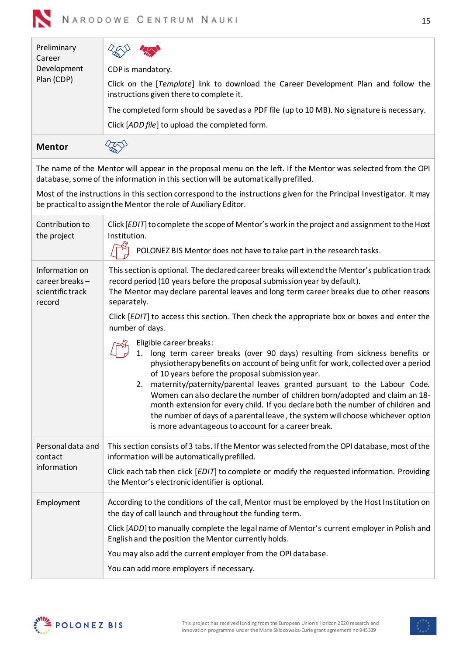<span id="page-14-0"></span>

| Preliminary<br>Career                                          |                                                                                                                                                                                                                                                                                                                                                                                                                                                                                                                                                                                                                                                  |
|----------------------------------------------------------------|--------------------------------------------------------------------------------------------------------------------------------------------------------------------------------------------------------------------------------------------------------------------------------------------------------------------------------------------------------------------------------------------------------------------------------------------------------------------------------------------------------------------------------------------------------------------------------------------------------------------------------------------------|
| Development<br>Plan (CDP)                                      | CDP is mandatory.                                                                                                                                                                                                                                                                                                                                                                                                                                                                                                                                                                                                                                |
|                                                                | Click on the [Template] link to download the Career Development Plan and follow the<br>instructions given there to complete it.                                                                                                                                                                                                                                                                                                                                                                                                                                                                                                                  |
|                                                                | The completed form should be saved as a PDF file (up to 10 MB). No signature is necessary.                                                                                                                                                                                                                                                                                                                                                                                                                                                                                                                                                       |
|                                                                | Click [ADD file] to upload the completed form.                                                                                                                                                                                                                                                                                                                                                                                                                                                                                                                                                                                                   |
| <b>Mentor</b>                                                  |                                                                                                                                                                                                                                                                                                                                                                                                                                                                                                                                                                                                                                                  |
|                                                                | The name of the Mentor will appear in the proposal menu on the left. If the Mentor was selected from the OPI<br>database, some of the information in this section will be automatically prefilled.                                                                                                                                                                                                                                                                                                                                                                                                                                               |
|                                                                | Most of the instructions in this section correspond to the instructions given for the Principal Investigator. It may<br>be practical to assign the Mentor the role of Auxiliary Editor.                                                                                                                                                                                                                                                                                                                                                                                                                                                          |
| Contribution to<br>the project                                 | Click [EDIT] to complete the scope of Mentor's work in the project and assignment to the Host<br>Institution.                                                                                                                                                                                                                                                                                                                                                                                                                                                                                                                                    |
|                                                                | POLONEZ BIS Mentor does not have to take part in the research tasks.                                                                                                                                                                                                                                                                                                                                                                                                                                                                                                                                                                             |
| Information on<br>career breaks-<br>scientific track<br>record | This section is optional. The declared career breaks will extend the Mentor's publication track<br>record period (10 years before the proposal submission year by default).<br>The Mentor may declare parental leaves and long term career breaks due to other reasons<br>separately.                                                                                                                                                                                                                                                                                                                                                            |
|                                                                | Click [EDIT] to access this section. Then check the appropriate box or boxes and enter the<br>number of days.                                                                                                                                                                                                                                                                                                                                                                                                                                                                                                                                    |
|                                                                | Eligible career breaks:<br>long term career breaks (over 90 days) resulting from sickness benefits or<br>1.<br>physiotherapy benefits on account of being unfit for work, collected over a period<br>of 10 years before the proposal submission year.<br>2. maternity/paternity/parental leaves granted pursuant to the Labour Code.<br>Women can also declare the number of children born/adopted and claim an 18-<br>month extension for every child. If you declare both the number of children and<br>the number of days of a parental leave, the system will choose whichever option<br>is more advantageous to account for a career break. |
| Personal data and<br>contact<br>information                    | This section consists of 3 tabs. If the Mentor was selected from the OPI database, most of the<br>information will be automatically prefilled.                                                                                                                                                                                                                                                                                                                                                                                                                                                                                                   |
|                                                                | Click each tab then click [EDIT] to complete or modify the requested information. Providing<br>the Mentor's electronic identifier is optional.                                                                                                                                                                                                                                                                                                                                                                                                                                                                                                   |
| Employment                                                     | According to the conditions of the call, Mentor must be employed by the Host Institution on<br>the day of call launch and throughout the funding term.                                                                                                                                                                                                                                                                                                                                                                                                                                                                                           |
|                                                                | Click [ADD] to manually complete the legal name of Mentor's current employer in Polish and<br>English and the position the Mentor currently holds.                                                                                                                                                                                                                                                                                                                                                                                                                                                                                               |
|                                                                | You may also add the current employer from the OPI database.                                                                                                                                                                                                                                                                                                                                                                                                                                                                                                                                                                                     |
|                                                                | You can add more employers if necessary.                                                                                                                                                                                                                                                                                                                                                                                                                                                                                                                                                                                                         |

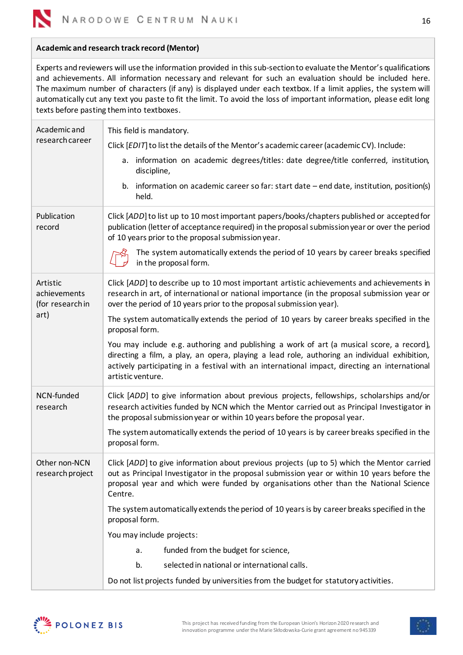

### **Academic and research track record (Mentor)**

Experts and reviewers will use the information provided in this sub-section to evaluate the Mentor's qualifications and achievements. All information necessary and relevant for such an evaluation should be included here. The maximum number of characters (if any) is displayed under each textbox. If a limit applies, the system will automatically cut any text you paste to fit the limit. To avoid the loss of important information, please edit long texts before pasting them into textboxes.

| Academic and<br>research career              | This field is mandatory.<br>Click [EDIT] to list the details of the Mentor's academic career (academic CV). Include:                                                                                                                                                                                           |
|----------------------------------------------|----------------------------------------------------------------------------------------------------------------------------------------------------------------------------------------------------------------------------------------------------------------------------------------------------------------|
|                                              |                                                                                                                                                                                                                                                                                                                |
|                                              | a. information on academic degrees/titles: date degree/title conferred, institution,<br>discipline,                                                                                                                                                                                                            |
|                                              | b. information on academic career so far: start date - end date, institution, position(s)<br>held.                                                                                                                                                                                                             |
| Publication<br>record                        | Click [ADD] to list up to 10 most important papers/books/chapters published or accepted for<br>publication (letter of acceptance required) in the proposal submission year or over the period<br>of 10 years prior to the proposal submission year.                                                            |
|                                              | The system automatically extends the period of 10 years by career breaks specified<br>in the proposal form.                                                                                                                                                                                                    |
| Artistic<br>achievements<br>(for research in | Click [ADD] to describe up to 10 most important artistic achievements and achievements in<br>research in art, of international or national importance (in the proposal submission year or<br>over the period of 10 years prior to the proposal submission year).                                               |
| art)                                         | The system automatically extends the period of 10 years by career breaks specified in the<br>proposal form.                                                                                                                                                                                                    |
|                                              | You may include e.g. authoring and publishing a work of art (a musical score, a record),<br>directing a film, a play, an opera, playing a lead role, authoring an individual exhibition,<br>actively participating in a festival with an international impact, directing an international<br>artistic venture. |
| NCN-funded<br>research                       | Click [ADD] to give information about previous projects, fellowships, scholarships and/or<br>research activities funded by NCN which the Mentor carried out as Principal Investigator in<br>the proposal submission year or within 10 years before the proposal year.                                          |
|                                              | The system automatically extends the period of 10 years is by career breaks specified in the<br>proposal form.                                                                                                                                                                                                 |
| Other non-NCN<br>research project            | Click [ADD] to give information about previous projects (up to 5) which the Mentor carried<br>out as Principal Investigator in the proposal submission year or within 10 years before the<br>proposal year and which were funded by organisations other than the National Science<br>Centre.                   |
|                                              | The system automatically extends the period of 10 years is by career breaks specified in the<br>proposal form.                                                                                                                                                                                                 |
|                                              | You may include projects:                                                                                                                                                                                                                                                                                      |
|                                              | funded from the budget for science,<br>a.                                                                                                                                                                                                                                                                      |
|                                              | b.<br>selected in national or international calls.                                                                                                                                                                                                                                                             |
|                                              | Do not list projects funded by universities from the budget for statutory activities.                                                                                                                                                                                                                          |



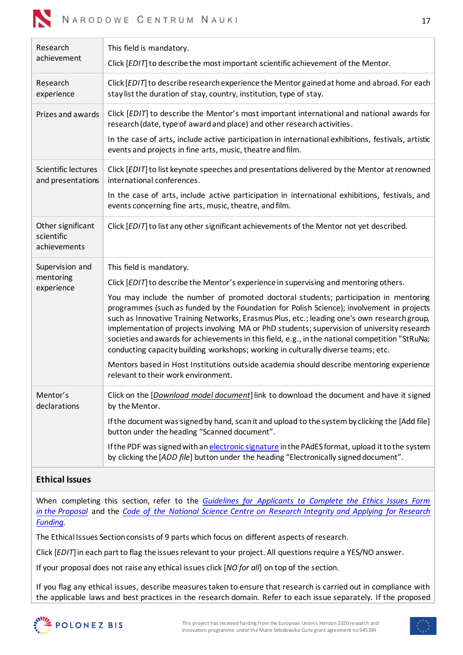

| Research<br>achievement                         | This field is mandatory.<br>Click [EDIT] to describe the most important scientific achievement of the Mentor.                                                                                                                                                                                                                                                                                                                                                                                                                                                                                                                                                                                                                                                                                                                   |
|-------------------------------------------------|---------------------------------------------------------------------------------------------------------------------------------------------------------------------------------------------------------------------------------------------------------------------------------------------------------------------------------------------------------------------------------------------------------------------------------------------------------------------------------------------------------------------------------------------------------------------------------------------------------------------------------------------------------------------------------------------------------------------------------------------------------------------------------------------------------------------------------|
| Research<br>experience                          | Click [EDIT] to describe research experience the Mentor gained at home and abroad. For each<br>stay list the duration of stay, country, institution, type of stay.                                                                                                                                                                                                                                                                                                                                                                                                                                                                                                                                                                                                                                                              |
| Prizes and awards                               | Click [EDIT] to describe the Mentor's most important international and national awards for<br>research (date, type of award and place) and other research activities.<br>In the case of arts, include active participation in international exhibitions, festivals, artistic<br>events and projects in fine arts, music, theatre and film.                                                                                                                                                                                                                                                                                                                                                                                                                                                                                      |
| Scientific lectures<br>and presentations        | Click [EDIT] to list keynote speeches and presentations delivered by the Mentor at renowned<br>international conferences.<br>In the case of arts, include active participation in international exhibitions, festivals, and<br>events concerning fine arts, music, theatre, and film.                                                                                                                                                                                                                                                                                                                                                                                                                                                                                                                                           |
| Other significant<br>scientific<br>achievements | Click [EDIT] to list any other significant achievements of the Mentor not yet described.                                                                                                                                                                                                                                                                                                                                                                                                                                                                                                                                                                                                                                                                                                                                        |
| Supervision and<br>mentoring<br>experience      | This field is mandatory.<br>Click [EDIT] to describe the Mentor's experience in supervising and mentoring others.<br>You may include the number of promoted doctoral students; participation in mentoring<br>programmes (such as funded by the Foundation for Polish Science); involvement in projects<br>such as Innovative Training Networks, Erasmus Plus, etc.; leading one's own research group,<br>implementation of projects involving MA or PhD students; supervision of university research<br>societies and awards for achievements in this field, e.g., in the national competition "StRuNa;<br>conducting capacity building workshops; working in culturally diverse teams; etc.<br>Mentors based in Host Institutions outside academia should describe mentoring experience<br>relevant to their work environment. |
| Mentor's<br>declarations                        | Click on the [Download model document] link to download the document and have it signed<br>by the Mentor.<br>If the document was signed by hand, scan it and upload to the system by clicking the [Add file]<br>button under the heading "Scanned document".<br>If the PDF was signed with an electronic signature in the PAdES format, upload it to the system<br>by clicking the [ADD file] button under the heading "Electronically signed document".                                                                                                                                                                                                                                                                                                                                                                        |

# <span id="page-16-0"></span>**Ethical Issues**

When completing this section, refer to the *[Guidelines for Applicants to Complete the Ethics Issues Form](https://www.ncn.gov.pl/sites/default/files/pliki/regulaminy/2021_12_wytyczne_dla_wnioskodawcow_kwestie_etyczne_ang.pdf)  in the [Proposal](https://www.ncn.gov.pl/sites/default/files/pliki/regulaminy/2021_12_wytyczne_dla_wnioskodawcow_kwestie_etyczne_ang.pdf)* and the *[Code of the National Science Centre on Research Integrity and Applying for](https://ncn.gov.pl/sites/default/files/pliki/Code-of-the-National-Science-Centre-on-Research-Integrity.pdf) Research [Funding.](https://ncn.gov.pl/sites/default/files/pliki/Code-of-the-National-Science-Centre-on-Research-Integrity.pdf)*

The Ethical Issues Section consists of 9 parts which focus on different aspects of research.

Click [*EDIT*] in each part to flag the issues relevant to your project. All questions require a YES/NO answer.

If your proposal does not raise any ethical issues click [*NO for all*] on top of the section.

If you flag any ethical issues, describe measures taken to ensure that research is carried out in compliance with the applicable laws and best practices in the research domain. Refer to each issue separately. If the proposed



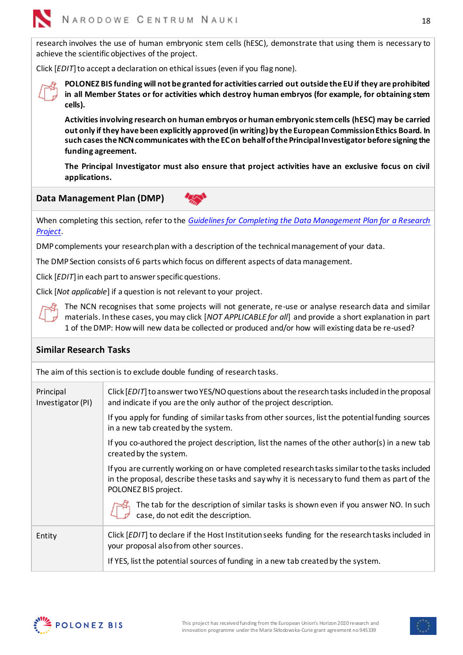

research involves the use of human embryonic stem cells (hESC), demonstrate that using them is necessary to achieve the scientific objectives of the project.

Click [*EDIT*] to accept a declaration on ethical issues (even if you flag none).



**POLONEZ BIS funding will not be granted for activities carried out outside the EU if they are prohibited in all Member States or for activities which destroy human embryos (for example, for obtaining stem cells).**

**Activities involving research on human embryos or human embryonic stem cells (hESC) may be carried out only if they have been explicitly approved (in writing) by the European Commission Ethics Board. In such cases the NCN communicates with the EC on behalf of the Principal Investigator before signing the funding agreement.**

**The Principal Investigator must also ensure that project activities have an exclusive focus on civil applications.**

## <span id="page-17-0"></span>**Data Management Plan (DMP)**

When completing this section, refer to the *[Guidelines for Completing the Data Management Plan for a Research](https://ncn.gov.pl/sites/default/files/pliki/regulaminy/wytyczne_zarzadzanie_danymi_06_2020_ang.pdf)  [Project](https://ncn.gov.pl/sites/default/files/pliki/regulaminy/wytyczne_zarzadzanie_danymi_06_2020_ang.pdf)*.

DMP complements your research plan with a description of the technical management of your data.

The DMP Section consists of 6 parts which focus on different aspects of data management.

Click [*EDIT*] in each part to answer specific questions.

Click [*Not applicable*] if a question is not relevant to your project.



The NCN recognises that some projects will not generate, re-use or analyse research data and similar materials. In these cases, you may click [*NOT APPLICABLE for all*] and provide a short explanation in part 1 of the DMP: How will new data be collected or produced and/or how will existing data be re-used?

### <span id="page-17-1"></span>**Similar Research Tasks**

The aim of this section is to exclude double funding of research tasks.

| Principal<br>Investigator (PI) | Click $[EDIT]$ to answer two YES/NO questions about the research tasks included in the proposal<br>and indicate if you are the only author of the project description.                                                  |
|--------------------------------|-------------------------------------------------------------------------------------------------------------------------------------------------------------------------------------------------------------------------|
|                                | If you apply for funding of similar tasks from other sources, list the potential funding sources<br>in a new tab created by the system.                                                                                 |
|                                | If you co-authored the project description, list the names of the other author(s) in a new tab<br>created by the system.                                                                                                |
|                                | If you are currently working on or have completed research tasks similar to the tasks included<br>in the proposal, describe these tasks and say why it is necessary to fund them as part of the<br>POLONEZ BIS project. |
|                                | The tab for the description of similar tasks is shown even if you answer NO. In such<br>case, do not edit the description.                                                                                              |
| Entity                         | Click [EDIT] to declare if the Host Institution seeks funding for the research tasks included in<br>your proposal also from other sources.                                                                              |
|                                | If YES, list the potential sources of funding in a new tab created by the system.                                                                                                                                       |



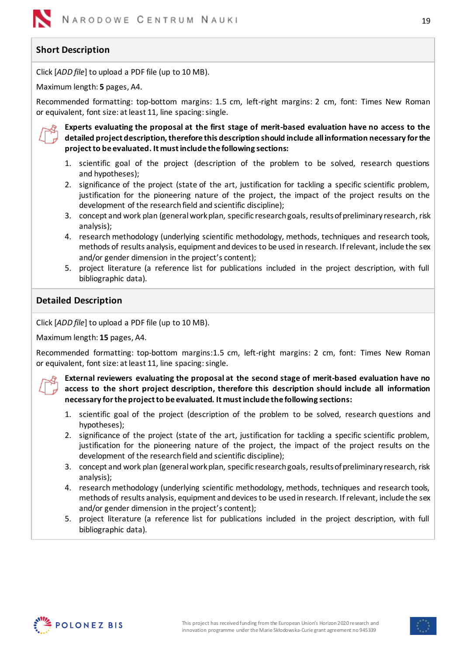# <span id="page-18-0"></span>**Short Description**

Click [*ADD file*] to upload a PDF file (up to 10 MB).

Maximum length: **5** pages, A4.

Recommended formatting: top-bottom margins: 1.5 cm, left-right margins: 2 cm, font: Times New Roman or equivalent, font size: at least 11, line spacing: single.



**Experts evaluating the proposal at the first stage of merit-based evaluation have no access to the detailed project description, therefore this description should include allinformation necessary for the project to be evaluated. It must include the following sections:**

- 1. scientific goal of the project (description of the problem to be solved, research questions and hypotheses);
- 2. significance of the project (state of the art, justification for tackling a specific scientific problem, justification for the pioneering nature of the project, the impact of the project results on the development of the research field and scientific discipline);
- 3. concept and work plan (general work plan, specific research goals, results of preliminary research, risk analysis);
- 4. research methodology (underlying scientific methodology, methods, techniques and research tools, methods of results analysis, equipment and devices to be used in research. If relevant, include the sex and/or gender dimension in the project's content);
- 5. project literature (a reference list for publications included in the project description, with full bibliographic data).

## <span id="page-18-1"></span>**Detailed Description**

Click [*ADD file*] to upload a PDF file (up to 10 MB).

Maximum length: **15** pages, A4.

Recommended formatting: top-bottom margins:1.5 cm, left-right margins: 2 cm, font: Times New Roman or equivalent, font size: at least 11, line spacing: single.

**External reviewers evaluating the proposal at the second stage of merit-based evaluation have no access to the short project description, therefore this description should include all information necessary for the project to be evaluated. It must include the following sections:**

- 1. scientific goal of the project (description of the problem to be solved, research questions and hypotheses);
- 2. significance of the project (state of the art, justification for tackling a specific scientific problem, justification for the pioneering nature of the project, the impact of the project results on the development of the research field and scientific discipline);
- 3. concept and work plan (general work plan, specific research goals, results of preliminary research, risk analysis);
- 4. research methodology (underlying scientific methodology, methods, techniques and research tools, methods of results analysis, equipment and devices to be used in research. If relevant, include the sex and/or gender dimension in the project's content);
- 5. project literature (a reference list for publications included in the project description, with full bibliographic data).



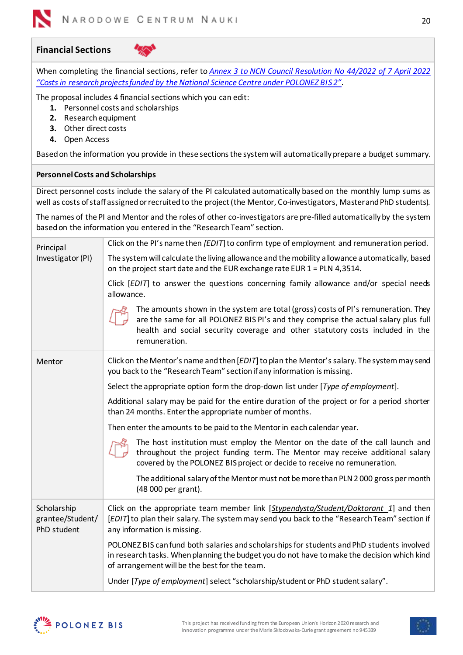

## <span id="page-19-0"></span>**Financial Sections**

When completing the financial sections, refer to *[Annex 3 to NCN Council Resolution No 44/2022 of](https://www.ncn.gov.pl/sites/default/files/pliki/uchwaly-rady/2022/uchwala44_2022-zal-zal3_ang.pdf) 7 April 2022 ["Costs in research projects funded by the National Science Centre under POLONEZ BIS 2"](https://www.ncn.gov.pl/sites/default/files/pliki/uchwaly-rady/2022/uchwala44_2022-zal-zal3_ang.pdf)*.

The proposal includes 4 financial sections which you can edit:

- **1.** Personnel costs and scholarships
- **2.** Research equipment
- **3.** Other direct costs
- **4.** Open Access

Based on the information you provide in these sections the system will automatically prepare a budget summary.

### <span id="page-19-1"></span>**Personnel Costs and Scholarships**

Direct personnel costs include the salary of the PI calculated automatically based on the monthly lump sums as well as costs of staff assigned or recruited to the project (the Mentor, Co-investigators, Master and PhD students).

The names of the PI and Mentor and the roles of other co-investigators are pre-filled automatically by the system based on the information you entered in the "Research Team" section.

| Principal<br>Investigator (PI)                 | Click on the PI's name then [EDIT] to confirm type of employment and remuneration period.                                                                                                                                                                                   |  |  |  |  |  |  |
|------------------------------------------------|-----------------------------------------------------------------------------------------------------------------------------------------------------------------------------------------------------------------------------------------------------------------------------|--|--|--|--|--|--|
|                                                | The system will calculate the living allowance and the mobility allowance automatically, based<br>on the project start date and the EUR exchange rate EUR $1 = PLN$ 4,3514.                                                                                                 |  |  |  |  |  |  |
|                                                | Click [EDIT] to answer the questions concerning family allowance and/or special needs<br>allowance.                                                                                                                                                                         |  |  |  |  |  |  |
|                                                | The amounts shown in the system are total (gross) costs of PI's remuneration. They<br>are the same for all POLONEZ BIS PI's and they comprise the actual salary plus full<br>health and social security coverage and other statutory costs included in the<br>remuneration. |  |  |  |  |  |  |
| Mentor                                         | Click on the Mentor's name and then [EDIT] to plan the Mentor's salary. The system may send<br>you back to the "Research Team" section if any information is missing.                                                                                                       |  |  |  |  |  |  |
|                                                | Select the appropriate option form the drop-down list under [Type of employment].                                                                                                                                                                                           |  |  |  |  |  |  |
|                                                | Additional salary may be paid for the entire duration of the project or for a period shorter<br>than 24 months. Enter the appropriate number of months.                                                                                                                     |  |  |  |  |  |  |
|                                                | Then enter the amounts to be paid to the Mentor in each calendar year.                                                                                                                                                                                                      |  |  |  |  |  |  |
|                                                | The host institution must employ the Mentor on the date of the call launch and<br>throughout the project funding term. The Mentor may receive additional salary<br>covered by the POLONEZ BIS project or decide to receive no remuneration.                                 |  |  |  |  |  |  |
|                                                | The additional salary of the Mentor must not be more than PLN 2000 gross per month<br>(48 000 per grant).                                                                                                                                                                   |  |  |  |  |  |  |
| Scholarship<br>grantee/Student/<br>PhD student | Click on the appropriate team member link [Stypendysta/Student/Doktorant 1] and then<br>[EDIT] to plan their salary. The system may send you back to the "Research Team" section if<br>any information is missing.                                                          |  |  |  |  |  |  |
|                                                | POLONEZ BIS can fund both salaries and scholarships for students and PhD students involved<br>in research tasks. When planning the budget you do not have to make the decision which kind<br>of arrangement will be the best for the team.                                  |  |  |  |  |  |  |
|                                                | Under [Type of employment] select "scholarship/student or PhD student salary".                                                                                                                                                                                              |  |  |  |  |  |  |

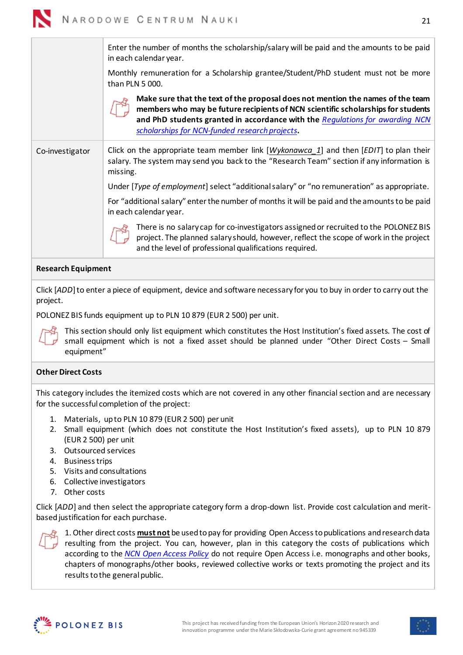

Enter the number of months the scholarship/salary will be paid and the amounts to be paid in each calendar year. Monthly remuneration for a Scholarship grantee/Student/PhD student must not be more than PLN 5 000. **Make sure that the text of the proposal does not mention the names of the team members who may be future recipients of NCN scientific scholarships for students and PhD students granted in accordance with the** *[Regulations for awarding NCN](https://www.ncn.gov.pl/sites/default/files/pliki/uchwaly-rady/2019/uchwala25_2019-zal1_ang.pdf) scholarships for [NCN-funded research projects](https://www.ncn.gov.pl/sites/default/files/pliki/uchwaly-rady/2019/uchwala25_2019-zal1_ang.pdf)***.** Co-investigator Click on the appropriate team member link [*Wykonawca\_1*] and then [*EDIT*] to plan their salary. The system may send you back to the "Research Team" section if any information is missing. Under [*Type of employment*] select "additional salary" or "no remuneration" as appropriate. For "additional salary" enter the number of months it will be paid and the amounts to be paid in each calendar year. There is no salary cap for co-investigators assigned or recruited to the POLONEZ BIS project. The planned salary should, however, reflect the scope of work in the project and the level of professional qualifications required.

## <span id="page-20-0"></span>**Research Equipment**

Click [*ADD*] to enter a piece of equipment, device and software necessary for you to buy in order to carry out the project.

POLONEZ BIS funds equipment up to PLN 10 879 (EUR 2 500) per unit.



This section should only list equipment which constitutes the Host Institution's fixed assets. The cost of small equipment which is not a fixed asset should be planned under "Other Direct Costs – Small equipment"

### <span id="page-20-1"></span>**Other Direct Costs**

This category includes the itemized costs which are not covered in any other financial section and are necessary for the successful completion of the project:

- 1. Materials, up to PLN 10 879 (EUR 2 500) per unit
- 2. Small equipment (which does not constitute the Host Institution's fixed assets), up to PLN 10 879 (EUR 2 500) per unit
- 3. Outsourced services
- 4. Business trips
- 5. Visits and consultations
- 6. Collective investigators
- 7. Other costs

Click [*ADD*] and then select the appropriate category form a drop-down list. Provide cost calculation and meritbased justification for each purchase.



1. Other direct costs **must not** be used to pay for providing Open Access to publications and research data resulting from the project. You can, however, plan in this category the costs of publications which according to the *[NCN Open Access Policy](https://ncn.gov.pl/sites/default/files/pliki/zarzadzenia-dyrektora/zarzadzenieDyr-38_2020_ang.pdf)* do not require Open Access i.e. monographs and other books, chapters of monographs/other books, reviewed collective works or texts promoting the project and its results to the general public.



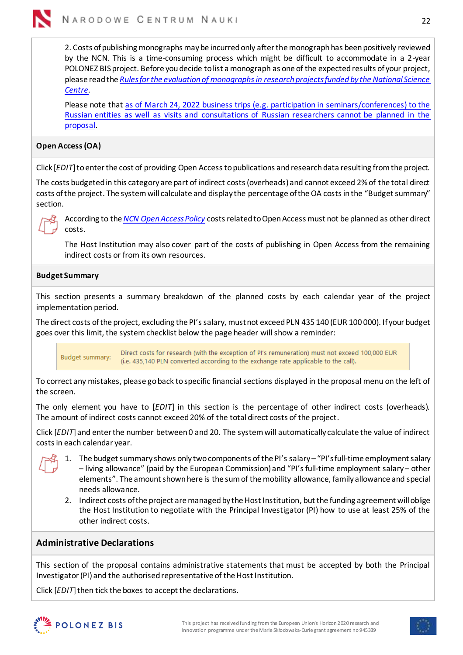

2. Costs of publishing monographs may be incurred only after the monograph has been positively reviewed by the NCN. This is a time-consuming process which might be difficult to accommodate in a 2-year POLONEZ BIS project. Before you decide to list a monograph as one of the expected results of your project, please readthe *[Rules for the evaluation of monographs in research projects funded by the National Science](https://ncn.gov.pl/sites/default/files/pliki/uchwaly-rady/2020/uchwala74_2020-zal1_ang.pdf)  [Centre.](https://ncn.gov.pl/sites/default/files/pliki/uchwaly-rady/2020/uchwala74_2020-zal1_ang.pdf)*

Please note tha[t as of March 24, 2022 business trips \(e.g. participation in seminars/conferences\) to the](https://www.ncn.gov.pl/en/aktualnosci/2022-03-24-wspolpraca-z-rosja)  [Russian entities as well as visits and consultations of Russian researchers cannot be planned in the](https://www.ncn.gov.pl/en/aktualnosci/2022-03-24-wspolpraca-z-rosja)  [proposal.](https://www.ncn.gov.pl/en/aktualnosci/2022-03-24-wspolpraca-z-rosja)

## <span id="page-21-0"></span>**Open Access (OA)**

Click [*EDIT*] to enter the cost of providing Open Access to publications and research data resulting from the project.

The costs budgeted in this category are part of indirect costs (overheads) and cannot exceed 2% of the total direct costs of the project. The system will calculate and display the percentage of the OA costs in the "Budget summary" section.



According to the *[NCN Open Access Policy](https://ncn.gov.pl/sites/default/files/pliki/zarzadzenia-dyrektora/zarzadzenieDyr-38_2020_ang.pdf)* costs related to Open Access must not be planned as other direct costs.

The Host Institution may also cover part of the costs of publishing in Open Access from the remaining indirect costs or from its own resources.

## <span id="page-21-1"></span>**Budget Summary**

This section presents a summary breakdown of the planned costs by each calendar year of the project implementation period.

The direct costs of the project, excluding the PI's salary, must not exceed PLN 435 140 (EUR 100 000). If your budget goes over this limit, the system checklist below the page header will show a reminder:

Direct costs for research (with the exception of PI's remuneration) must not exceed 100,000 EUR Budget summary: (i.e. 435,140 PLN converted according to the exchange rate applicable to the call).

To correct any mistakes, please go back to specific financial sections displayed in the proposal menu on the left of the screen.

The only element you have to [*EDIT*] in this section is the percentage of other indirect costs (overheads). The amount of indirect costs cannot exceed 20% of the total direct costs of the project.

Click [*EDIT*] and enter the number between 0 and 20. The system will automatically calculate the value of indirect costs in each calendar year.



- 1. The budget summary shows only two components of the PI's salary "PI's full-time employment salary – living allowance" (paid by the European Commission) and "PI's full-time employment salary – other elements". The amount shown here is the sum of the mobility allowance, family allowance and special needs allowance.
- 2. Indirect costs of the project are managed by the Host Institution, but the funding agreement will oblige the Host Institution to negotiate with the Principal Investigator (PI) how to use at least 25% of the other indirect costs.

## <span id="page-21-2"></span>**Administrative Declarations**

This section of the proposal contains administrative statements that must be accepted by both the Principal Investigator (PI) and the authorised representative of the Host Institution.

Click [*EDIT*] then tick the boxes to accept the declarations.



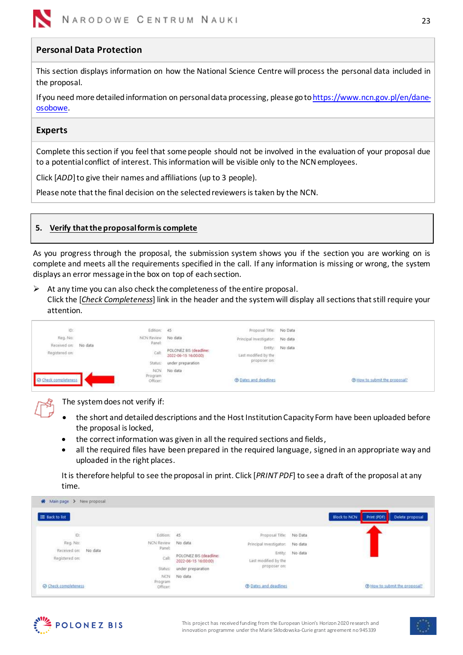

## <span id="page-22-0"></span>**Personal Data Protection**

This section displays information on how the National Science Centre will process the personal data included in the proposal.

If you need more detailed information on personal data processing, please go t[ohttps://www.ncn.gov.pl/en/dane](https://www.ncn.gov.pl/en/dane-osobowe)[osobowe.](https://www.ncn.gov.pl/en/dane-osobowe)

#### <span id="page-22-1"></span>**Experts**

Complete this section if you feel that some people should not be involved in the evaluation of your proposal due to a potential conflict of interest. This information will be visible only to the NCN employees.

Click [*ADD*] to give their names and affiliations (up to 3 people).

Please note that the final decision on the selected reviewers is taken by the NCN.

### <span id="page-22-2"></span>**5. Verify that the proposal form is complete**

As you progress through the proposal, the submission system shows you if the section you are working on is complete and meets all the requirements specified in the call. If any information is missing or wrong, the system displays an error message in the box on top of each section.

 $\triangleright$  At any time you can also check the completeness of the entire proposal. Click the [*Check Completeness*] link in the header and the system will display all sections that still require your attention.

| <b>O</b> Check completeness     |         | Status:<br>NCN.<br>Program<br>Officer:     | under preparation<br>No data<br>09. WARA 1901  | proposer on:<br><b>® Dates and deadlines</b>               | Thew to submit the proposal? |
|---------------------------------|---------|--------------------------------------------|------------------------------------------------|------------------------------------------------------------|------------------------------|
| Registered on:                  |         | Call                                       | POLONEZ BIS (deadline:<br>2022-06-15 16:00:00) | Last modified by the                                       | Entity: No data              |
| ib.<br>Reg. No:<br>Received on: | No data | Edition: 45<br>NCN Review<br>---<br>Panel: | No data                                        | Proposal Title: No Data<br>Principal Investigator: No data |                              |
|                                 |         |                                            |                                                |                                                            |                              |

The system does not verify if:

- the short and detailed descriptions and the Host Institution Capacity Form have been uploaded before the proposal is locked,
- the correct information was given in all the required sections and fields,
- all the required files have been prepared in the required language, signed in an appropriate way and uploaded in the right places.

It is therefore helpful to see the proposal in print. Click [*PRINT PDF*] to see a draft of the proposal at any time.





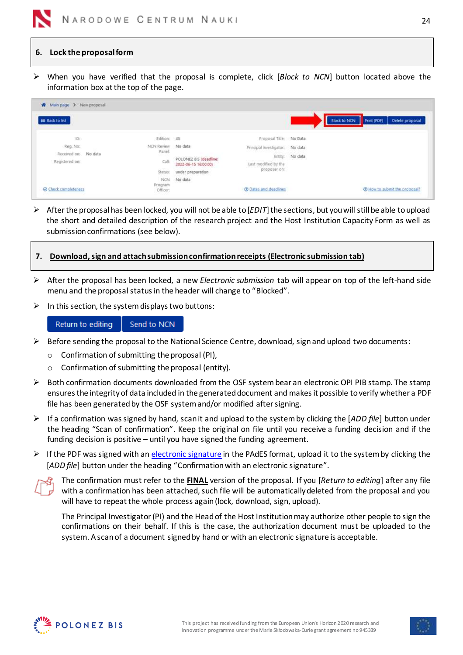

### <span id="page-23-0"></span>**6. Lock the proposal form**

➢ When you have verified that the proposal is complete, click [*Block to NCN*] button located above the information box at the top of the page.

| Main page > New proposal<br>米    |                              |                                                |                                      |                 |                     |             |                               |
|----------------------------------|------------------------------|------------------------------------------------|--------------------------------------|-----------------|---------------------|-------------|-------------------------------|
| E Back to list                   |                              |                                                |                                      |                 | <b>Block to NCN</b> | Print (PDF) | Delete proposal               |
| <b>ID:</b>                       | Edition: 45                  |                                                | Proposal Title: No Data              |                 |                     |             |                               |
| Reg. No:<br>Received on: No data | NCN Review No data<br>Panel: |                                                | Principal investigator: No data      |                 |                     |             |                               |
|                                  |                              | POLONEZ BIS (deadline:<br>2022-06-15 16:00:00) |                                      | Entity: No data |                     |             |                               |
| Registered on:                   | Call:                        |                                                | Last modified by the<br>proposer.on: |                 |                     |             |                               |
|                                  | Status:                      | under preparation                              |                                      |                 |                     |             |                               |
|                                  | <b>NCN</b><br>Program        | No data                                        |                                      |                 |                     |             |                               |
| Check completeness               | Officer:                     |                                                | <b>C</b> Dates and deadlines         |                 |                     |             | @ How to submit the proposal? |

- ➢ After the proposal has been locked, you will not be able to [*EDIT*] the sections, but you will still be able toupload the short and detailed description of the research project and the Host Institution Capacity Form as well as submission confirmations (see below).
- <span id="page-23-1"></span>**7. Download, sign and attach submission confirmation receipts (Electronic submission tab)**
- ➢ After the proposal has been locked, a new *Electronic submission* tab will appear on top of the left-hand side menu and the proposal status in the header will change to "Blocked".
- $\triangleright$  In this section, the system displays two buttons:

<span id="page-23-2"></span>Return to editing Send to NCN

- $\triangleright$  Before sending the proposal to the National Science Centre, download, sign and upload two documents:
	- o Confirmation of submitting the proposal (PI),
	- o Confirmation of submitting the proposal (entity).
- ➢ Both confirmation documents downloaded from the OSF system bear an electronic OPI PIB stamp. The stamp ensures the integrity of data included in the generated document and makes it possible to verify whether a PDF file has been generated by the OSF systemand/or modified after signing.
- ➢ If a confirmation was signed by hand, scan it and upload to the system by clicking the [*ADD file*] button under the heading "Scan of confirmation". Keep the original on file until you receive a funding decision and if the funding decision is positive – until you have signed the funding agreement.
- $\triangleright$  If the PDF was signed with an [electronic signature](#page-7-1) in the PAdES format, upload it to the system by clicking the [*ADD file*] button under the heading "Confirmation with an electronic signature".



The confirmation must refer to the **FINAL** version of the proposal. If you [*Return to editing*] after any file with a confirmation has been attached, such file will be automatically deleted from the proposal and you will have to repeat the whole process again (lock, download, sign, upload).

The Principal Investigator (PI) and the Head of the Host Institution may authorize other people to sign the confirmations on their behalf. If this is the case, the authorization document must be uploaded to the system. A scan of a document signed by hand or with an electronic signature is acceptable.